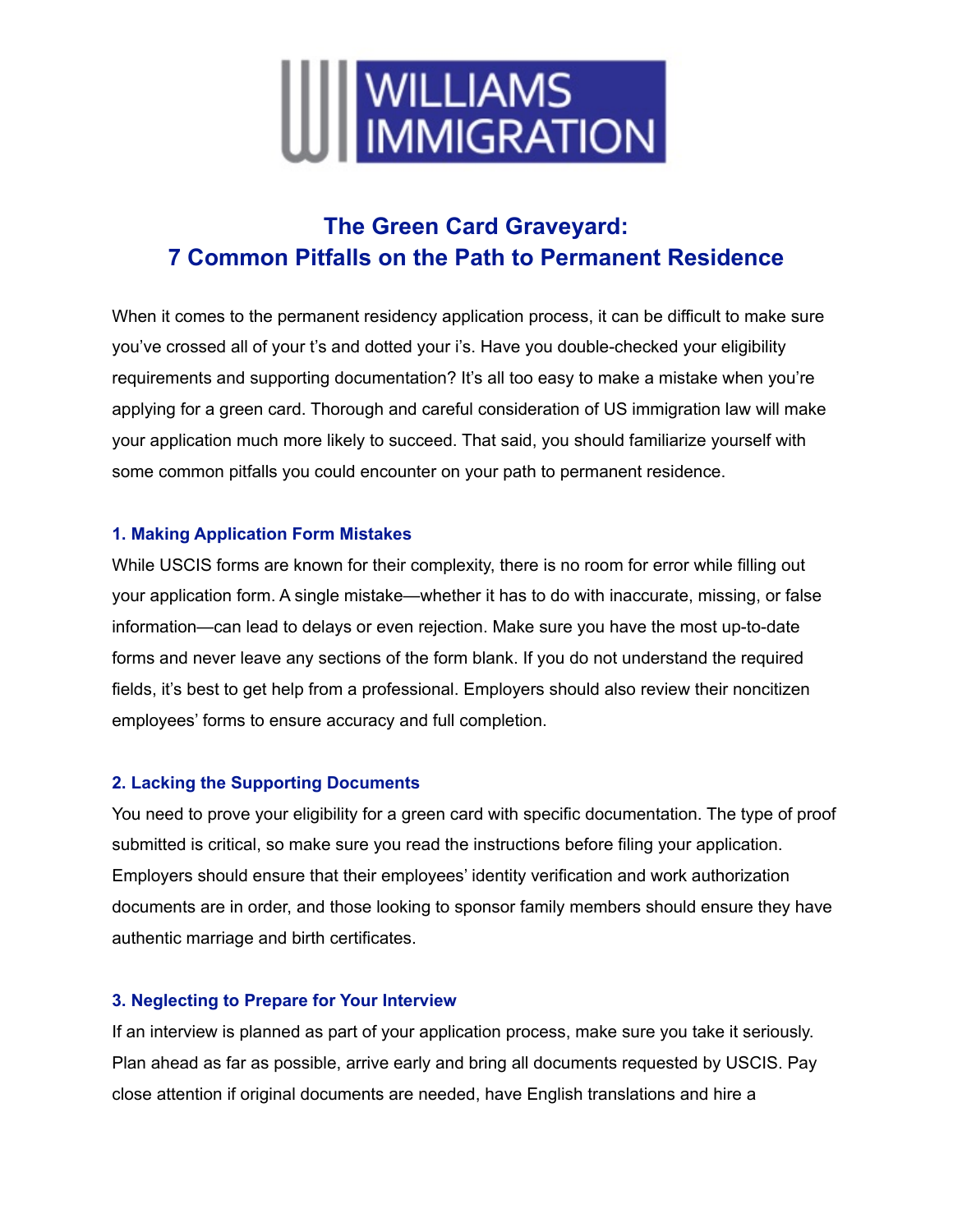

# **The Green Card Graveyard: 7 Common Pitfalls on the Path to Permanent Residence**

When it comes to the permanent residency application process, it can be difficult to make sure you've crossed all of your t's and dotted your i's. Have you double-checked your eligibility requirements and supporting documentation? It's all too easy to make a mistake when you're applying for a green card. Thorough and careful consideration of US immigration law will make your application much more likely to succeed. That said, you should familiarize yourself with some common pitfalls you could encounter on your path to permanent residence.

### **1. Making Application Form Mistakes**

While USCIS forms are known for their complexity, there is no room for error while filling out your application form. A single mistake—whether it has to do with inaccurate, missing, or false information—can lead to delays or even rejection. Make sure you have the most up-to-date forms and never leave any sections of the form blank. If you do not understand the required fields, it's best to get help from a professional. Employers should also review their noncitizen employees' forms to ensure accuracy and full completion.

# **2. Lacking the Supporting Documents**

You need to prove your eligibility for a green card with specific documentation. The type of proof submitted is critical, so make sure you read the instructions before filing your application. Employers should ensure that their employees' identity verification and work authorization documents are in order, and those looking to sponsor family members should ensure they have authentic marriage and birth certificates.

## **3. Neglecting to Prepare for Your Interview**

If an interview is planned as part of your application process, make sure you take it seriously. Plan ahead as far as possible, arrive early and bring all documents requested by USCIS. Pay close attention if original documents are needed, have English translations and hire a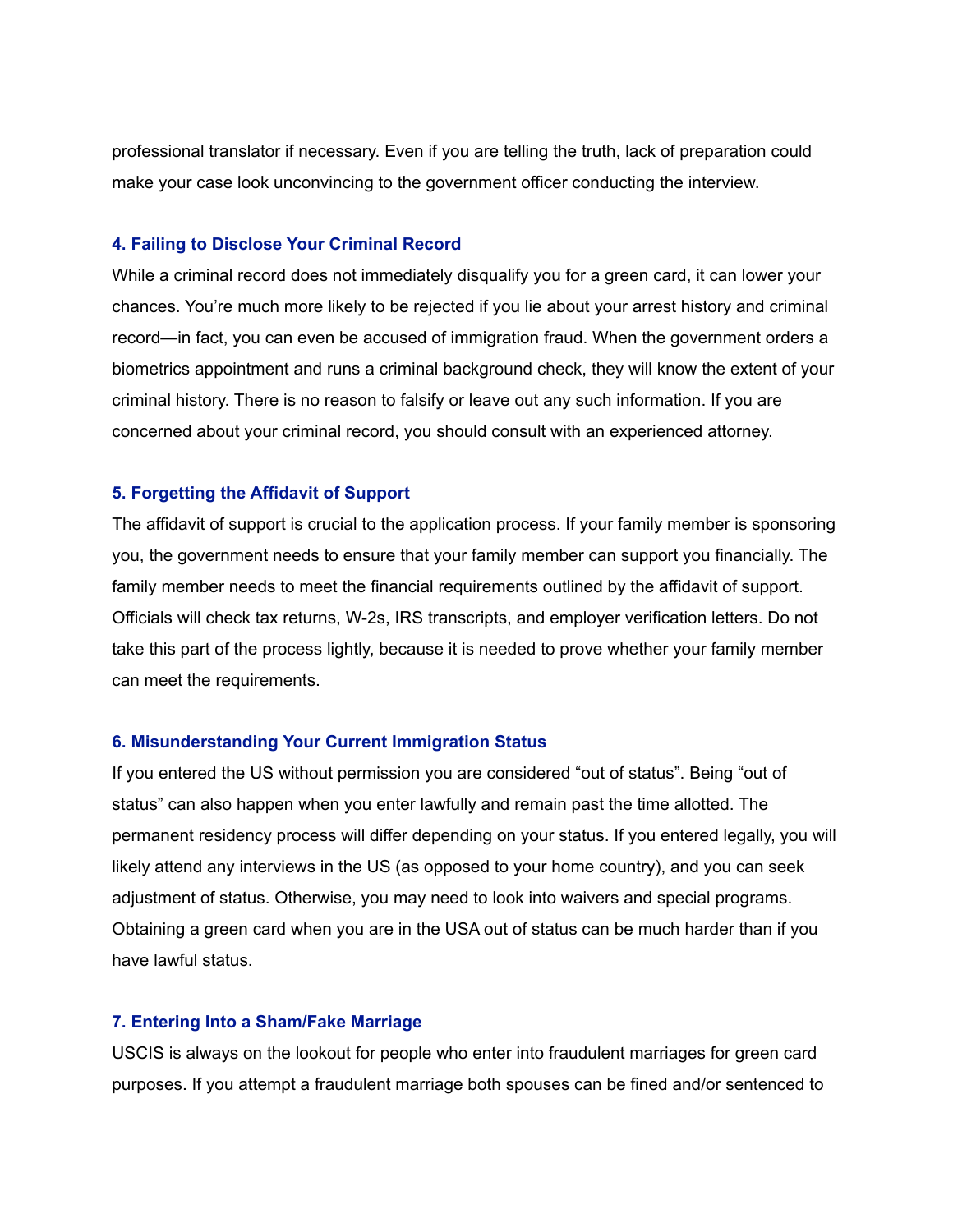professional translator if necessary. Even if you are telling the truth, lack of preparation could make your case look unconvincing to the government officer conducting the interview.

#### **4. Failing to Disclose Your Criminal Record**

While a criminal record does not immediately disqualify you for a green card, it can lower your chances. You're much more likely to be rejected if you lie about your arrest history and criminal record—in fact, you can even be accused of immigration fraud. When the government orders a biometrics appointment and runs a criminal background check, they will know the extent of your criminal history. There is no reason to falsify or leave out any such information. If you are concerned about your criminal record, you should consult with an experienced attorney.

#### **5. Forgetting the Affidavit of Support**

The affidavit of support is crucial to the application process. If your family member is sponsoring you, the government needs to ensure that your family member can support you financially. The family member needs to meet the financial requirements outlined by the affidavit of support. Officials will check tax returns, W-2s, IRS transcripts, and employer verification letters. Do not take this part of the process lightly, because it is needed to prove whether your family member can meet the requirements.

#### **6. Misunderstanding Your Current Immigration Status**

If you entered the US without permission you are considered "out of status". Being "out of status" can also happen when you enter lawfully and remain past the time allotted. The permanent residency process will differ depending on your status. If you entered legally, you will likely attend any interviews in the US (as opposed to your home country), and you can seek adjustment of status. Otherwise, you may need to look into waivers and special programs. Obtaining a green card when you are in the USA out of status can be much harder than if you have lawful status.

#### **7. Entering Into a Sham/Fake Marriage**

USCIS is always on the lookout for people who enter into fraudulent marriages for green card purposes. If you attempt a fraudulent marriage both spouses can be fined and/or sentenced to